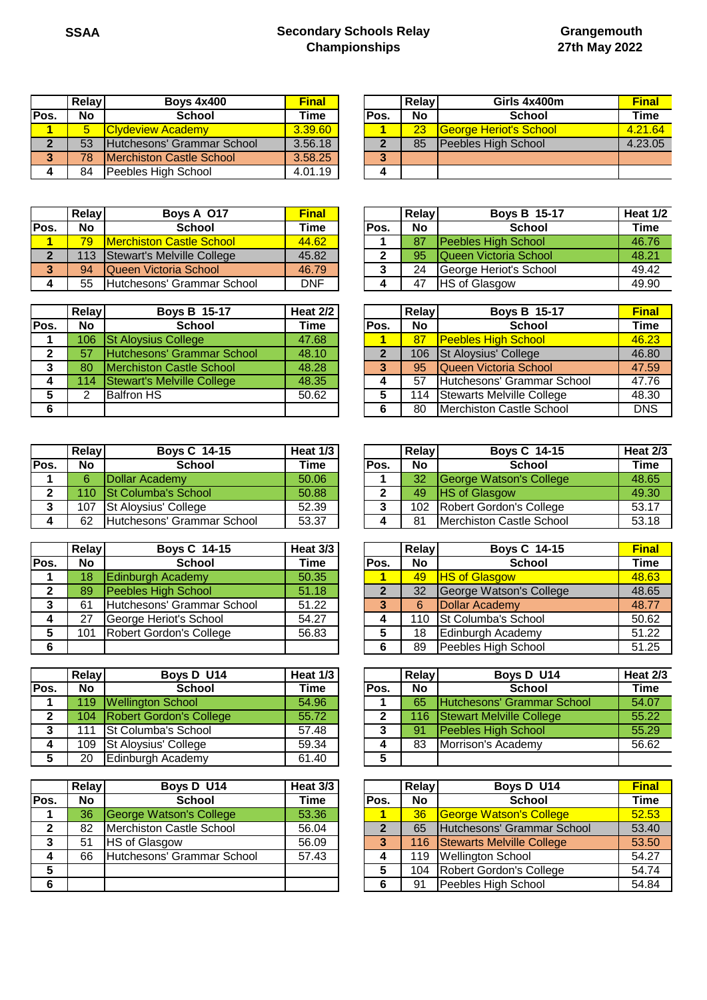## **SSAA Secondary Schools Relay Championships**

|      | <b>Relay</b> | <b>Boys 4x400</b>                | <b>Final</b> |       | Relav     | Girls 4x400m           | <b>Final</b> |
|------|--------------|----------------------------------|--------------|-------|-----------|------------------------|--------------|
| Pos. | <b>No</b>    | <b>School</b>                    | Time         | lPos. | <b>No</b> | <b>School</b>          | Time         |
|      |              | <b>Clydeview Academy</b>         | 3.39.60      |       | 23        | George Heriot's School | 4.21.6       |
|      | 53           | Hutchesons' Grammar School       | 3.56.18      |       | 85        | Peebles High School    | 4.23.0       |
| -5   | 78           | <b>IMerchiston Castle School</b> | 3.58.25      | 3     |           |                        |              |
| 4    | 84           | Peebles High School              | 4.01.19      |       |           |                        |              |

|      | <b>Relav</b> | Boys A 017                       | <b>Final</b> |       | <b>Relav</b> | <b>Boys B 15-17</b>    | Heat 1 |
|------|--------------|----------------------------------|--------------|-------|--------------|------------------------|--------|
| Pos. | <b>No</b>    | School                           | Time         | IPos. | No           | <b>School</b>          | Time   |
|      | 79           | <b>IMerchiston Castle School</b> | 44.62        |       | 87           | Peebles High School    | 46.76  |
|      | 113          | Stewart's Melville College       | 45.82        |       | 95           | Queen Victoria School  | 48.21  |
|      | 94           | Queen Victoria School            | 46.79        |       | 24           | George Heriot's School | 49.42  |
|      | 55           | Hutchesons' Grammar School       | DNF          |       | 47           | <b>HS of Glasgow</b>   | 49.90  |

|      | <b>Relay</b> | <b>Boys B 15-17</b>               | Heat 2/2 |      | Relay     | <b>Boys B 15-17</b>        | <b>Final</b> |
|------|--------------|-----------------------------------|----------|------|-----------|----------------------------|--------------|
| Pos. | <b>No</b>    | School                            | Time     | Pos. | <b>No</b> | <b>School</b>              | Time         |
|      | 106          | <b>St Aloysius College</b>        | 47.68    |      | 87        | <b>Peebles High School</b> | 46.23        |
|      | 57           | Hutchesons' Grammar School        | 48.10    | 2    | 106       | St Aloysius' College       | 46.80        |
| 3    | 80           | Merchiston Castle School          | 48.28    | 3    | 95        | Queen Victoria School      | 47.59        |
|      | 114          | <b>Stewart's Melville College</b> | 48.35    |      | 57        | Hutchesons' Grammar School | 47.76        |
| 5    | 2            | <b>Balfron HS</b>                 | 50.62    | 5    | 114       | Stewarts Melville College  | 48.30        |
| 6    |              |                                   |          | 6    | 80        | Merchiston Castle School   | <b>DNS</b>   |

|      | Relay     | <b>Boys C 14-15</b>        | Heat 1/3 |             | Relay            | <b>Boys C 14-15</b>      | Heat 2 |
|------|-----------|----------------------------|----------|-------------|------------------|--------------------------|--------|
| Pos. | <b>No</b> | <b>School</b>              | Time     | <b>Pos.</b> | <b>No</b>        | <b>School</b>            | Time   |
|      |           | <b>IDollar Academy</b>     | 50.06    |             | 32               | George Watson's College  | 48.65  |
|      |           | 110 St Columba's School    | 50.88    |             | 49               | <b>HS of Glasgow</b>     | 49.30  |
|      | 107       | St Aloysius' College       | 52.39    |             | 102 <sub>2</sub> | Robert Gordon's College  | 53.17  |
| 4    | 62        | Hutchesons' Grammar School | 53.37    |             | 81               | Merchiston Castle School | 53.18  |

|      | Relay | <b>Boys C 14-15</b>        | <b>Heat 3/3</b> |      | Relay           | <b>Boys C 14-15</b>        | <b>Final</b> |
|------|-------|----------------------------|-----------------|------|-----------------|----------------------------|--------------|
| Pos. | No.   | <b>School</b>              | Time            | Pos. | <b>No</b>       | <b>School</b>              | Time         |
|      | 18    | <b>Edinburgh Academy</b>   | 50.35           |      | 49 <sub>l</sub> | <b>HS of Glasgow</b>       | 48.63        |
|      | 89    | Peebles High School        | 51.18           |      | 32              | George Watson's College    | 48.65        |
|      | 61    | Hutchesons' Grammar School | 51.22           |      | 6               | Dollar Academy             | 48.77        |
|      | 27    | George Heriot's School     | 54.27           |      | 110             | St Columba's School        | 50.62        |
|      | 101   | Robert Gordon's College    | 56.83           |      | 18              | Edinburgh Academy          | 51.22        |
|      |       |                            |                 |      | 89              | <b>Peebles High School</b> | 51.25        |

|              | <b>Relay</b> | Boys D U14               | Heat 1/3 |      | Relay     | Boys D U14                      | Heat <sub>2</sub> |
|--------------|--------------|--------------------------|----------|------|-----------|---------------------------------|-------------------|
| Pos.         | <b>No</b>    | <b>School</b>            | Time     | Pos. | <b>No</b> | <b>School</b>                   | Time              |
|              | 119          | <b>Wellington School</b> | 54.96    |      | 65        | Hutchesons' Grammar School      | 54.07             |
| $\mathbf{2}$ | 104          | Robert Gordon's College  | 55.72    |      | 116       | <b>Stewart Melville College</b> | 55.22             |
| 3            | 111          | St Columba's School      | 57.48    |      | 91        | Peebles High School             | 55.29             |
| 4            | 109          | St Aloysius' College     | 59.34    |      | 83        | Morrison's Academy              | 56.62             |
|              | 20           | Edinburgh Academy        | 61.40    | 5    |           |                                 |                   |

|      | <b>Relay</b> | Boys D U14                 | Heat 3/3 |      | Relay     | Boys D U14                 | <b>Final</b> |
|------|--------------|----------------------------|----------|------|-----------|----------------------------|--------------|
| Pos. | <b>No</b>    | School                     | Time     | Pos. | <b>No</b> | <b>School</b>              | Time         |
|      | 36           | George Watson's College    | 53.36    |      | 36        | George Watson's College    | 52.53        |
|      | 82           | Merchiston Castle School   | 56.04    |      | 65        | Hutchesons' Grammar School | 53.40        |
| 3    | 51           | <b>HS of Glasgow</b>       | 56.09    | 3    | 116       | Stewarts Melville College  | 53.50        |
|      | 66           | Hutchesons' Grammar School | 57.43    |      | 119       | <b>Wellington School</b>   | 54.27        |
| 5    |              |                            |          | 5    | 104       | Robert Gordon's College    | 54.74        |
| 6    |              |                            |          | 6    | 91        | Peebles High School        | 54.84        |

|    | Relay | <b>Boys 4x400</b>                 | <b>Final</b> |             | <b>Relav</b> | Girls 4x400m           | <b>Final</b> |
|----|-------|-----------------------------------|--------------|-------------|--------------|------------------------|--------------|
| s. | No    | <b>School</b>                     | Time         | <b>Pos.</b> | <b>No</b>    | <b>School</b>          | Time         |
|    |       | <b>Clydeview Academy</b>          | 3.39.60      |             | 23           | George Heriot's School | 4.21.64      |
|    | 53    | <b>Hutchesons' Grammar School</b> | 3.56.18      |             | 85           | Peebles High School    | 4.23.05      |
|    | 78    | <b>IMerchiston Castle School</b>  | 3.58.25      | 3           |              |                        |              |
| 4  | 84    | Peebles High School               | 4.01.19      |             |              |                        |              |

|    | Relay | Boys A 017                       | <b>Final</b> |             | Relay     | <b>Boys B 15-17</b>           | <b>Heat 1/2</b> |
|----|-------|----------------------------------|--------------|-------------|-----------|-------------------------------|-----------------|
| s. | No    | <b>School</b>                    | Time         | <b>Pos.</b> | <b>No</b> | <b>School</b>                 | <b>Time</b>     |
|    | 79    | <b>IMerchiston Castle School</b> | 44.62        |             | 87        | <b>IPeebles High School</b>   | 46.76           |
|    | 113   | Stewart's Melville College       | 45.82        |             | 95        | <b>IQueen Victoria School</b> | 48.21           |
|    | 94    | Queen Victoria School            | 46.79        |             | 24        | George Heriot's School        | 49.42           |
| 4  | 55    | Hutchesons' Grammar School       | <b>DNF</b>   |             | 47        | <b>HS of Glasgow</b>          | 49.90           |

|    | Relay | <b>Boys B 15-17</b>               | Heat 2/2 |      | <b>Relay</b> | <b>Boys B 15-17</b>             | <b>Final</b> |
|----|-------|-----------------------------------|----------|------|--------------|---------------------------------|--------------|
| s. | No.   | <b>School</b>                     | Time     | Pos. | <b>No</b>    | <b>School</b>                   | <b>Time</b>  |
|    | 106   | <b>St Aloysius College</b>        | 47.68    |      | 87           | <b>Peebles High School</b>      | 46.23        |
|    | 57    | Hutchesons' Grammar School        | 48.10    |      | 106          | <b>St Aloysius' College</b>     | 46.80        |
|    | 80    | <b>Merchiston Castle School</b>   | 48.28    | 3    | 95           | Queen Victoria School           | 47.59        |
| 4  | 114   | <b>Stewart's Melville College</b> | 48.35    |      | 57           | Hutchesons' Grammar School      | 47.76        |
| 5  | 2     | <b>Balfron HS</b>                 | 50.62    |      | 114          | Stewarts Melville College       | 48.30        |
| 6. |       |                                   |          |      | 80           | <b>Merchiston Castle School</b> | <b>DNS</b>   |

|    | Relay | <b>Boys C 14-15</b>                | Heat $1/3$ |       | <b>Relay</b> | <b>Boys C 14-15</b>      | Heat 2/3    |
|----|-------|------------------------------------|------------|-------|--------------|--------------------------|-------------|
| s. | No    | <b>School</b>                      | Time       | 'Pos. | <b>No</b>    | <b>School</b>            | <b>Time</b> |
|    |       | Dollar Academy                     | 50.06      |       | 32           | George Watson's College  | 48.65       |
|    |       | 110 St Columba's School            | 50.88      |       | 49           | <b>HS</b> of Glasgow     | 49.30       |
|    | 107   | <b>St Aloysius' College</b>        | 52.39      |       | 102          | Robert Gordon's College  | 53.17       |
|    | 62    | <b>IHutchesons' Grammar School</b> | 53.37      |       | 81           | Merchiston Castle School | 53.18       |

|    | Relay | <b>Boys C 14-15</b>        | <b>Heat 3/3</b> |      | Relay     | <b>Boys C 14-15</b>     | <b>Final</b> |
|----|-------|----------------------------|-----------------|------|-----------|-------------------------|--------------|
| s. | No.   | School                     | Time            | Pos. | <b>No</b> | <b>School</b>           | <b>Time</b>  |
|    | 18    | <b>Edinburgh Academy</b>   | 50.35           |      | 49        | <b>HS of Glasgow</b>    | 48.63        |
| 2  | 89    | <b>Peebles High School</b> | 51.18           |      | 32        | George Watson's College | 48.65        |
|    | 61    | Hutchesons' Grammar School | 51.22           | 3    | 6         | Dollar Academy          | 48.77        |
| 4  | 27    | George Heriot's School     | 54.27           |      | 110       | St Columba's School     | 50.62        |
|    | 101   | Robert Gordon's College    | 56.83           |      | 18        | Edinburgh Academy       | 51.22        |
| 6  |       |                            |                 |      | 89        | Peebles High School     | 51.25        |

|    | Relay | Boys D U14                     | Heat 1/3 |       | <b>Relav</b> | Boys D U14                      | <b>Heat 2/3</b> |
|----|-------|--------------------------------|----------|-------|--------------|---------------------------------|-----------------|
| s. | No.   | <b>School</b>                  | Time     | lPos. | <b>No</b>    | <b>School</b>                   | Time            |
|    | 119   | <b>Wellington School</b>       | 54.96    |       | 65           | Hutchesons' Grammar School      | 54.07           |
| 2. | 104   | <b>Robert Gordon's College</b> | 55.72    |       | 116          | <b>Stewart Melville College</b> | 55.22           |
| ີ  | 111   | <b>St Columba's School</b>     | 57.48    | ∍     | 91           | Peebles High School             | 55.29           |
| 4  | 109   | St Aloysius' College           | 59.34    |       | 83           | Morrison's Academy              | 56.62           |
|    | 20    | Edinburgh Academy              | 61.40    | 5     |              |                                 |                 |

|    | <b>Relay</b> | Boys D U14                      | Heat 3/3 |      | <b>Relay</b> | Boys D U14                     | <b>Final</b> |
|----|--------------|---------------------------------|----------|------|--------------|--------------------------------|--------------|
| s. | No.          | School                          | Time     | Pos. | <b>No</b>    | <b>School</b>                  | <b>Time</b>  |
|    | 36           | George Watson's College         | 53.36    |      | 36           | <b>George Watson's College</b> | 52.53        |
|    | 82           | <b>Merchiston Castle School</b> | 56.04    | າ    | 65           | Hutchesons' Grammar School     | 53.40        |
|    | 51           | <b>HS of Glasgow</b>            | 56.09    |      | 116          | Stewarts Melville College      | 53.50        |
| 4  | 66           | Hutchesons' Grammar School      | 57.43    |      | 119          | <b>Wellington School</b>       | 54.27        |
| 5  |              |                                 |          |      | 104          | Robert Gordon's College        | 54.74        |
| c  |              |                                 |          | 6    | 91           | Peebles High School            | 54.84        |